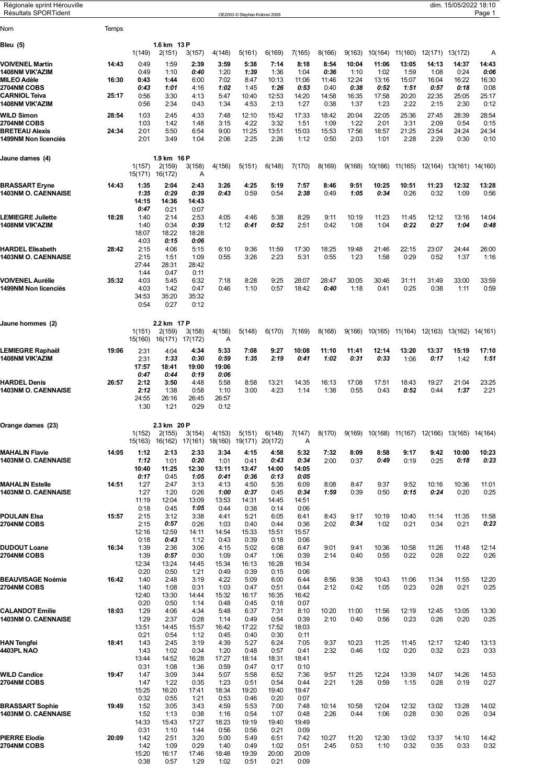| Régionale sprint Hérouville<br><b>Résultats SPORTident</b> |       |                 |                       |                 |                | OE2003 © Stephan Krämer 2008 |                |                |                |                 |                  |                  |                                         | dim. 15/05/2022 18:10 | Page 1        |
|------------------------------------------------------------|-------|-----------------|-----------------------|-----------------|----------------|------------------------------|----------------|----------------|----------------|-----------------|------------------|------------------|-----------------------------------------|-----------------------|---------------|
| Nom                                                        | Temps |                 |                       |                 |                |                              |                |                |                |                 |                  |                  |                                         |                       |               |
| Bleu (5)                                                   |       |                 | 1.6 km 13 P           |                 |                |                              |                |                |                |                 |                  |                  |                                         |                       |               |
| <b>VOIVENEL Martin</b>                                     | 14:43 | 1(149)<br>0:49  | 2(151)<br>1:59        | 3(157)<br>2:39  | 4(148)<br>3:59 | 5(161)<br>5:38               | 6(169)<br>7:14 | 7(165)<br>8:18 | 8(166)<br>8:54 | 9(163)<br>10:04 | 10(164)<br>11:06 | 11(160)<br>13:05 | 12(171)<br>14:13                        | 13(172)<br>14:37      | A<br>14:43    |
| 1408NM VIK'AZIM                                            |       | 0:49            | 1:10                  | 0:40            | 1:20           | 1:39                         | 1:36           | 1:04           | 0:36           | 1:10            | 1:02             | 1:59             | 1:08                                    | 0:24                  | 0:06          |
| <b>MILEO Adèle</b><br>2704NM COBS                          | 16:30 | 0:43<br>0:43    | 1:44<br>1:01          | 6:00<br>4:16    | 7:02<br>1:02   | 8:47<br>1:45                 | 10:13<br>1:26  | 11:06<br>0:53  | 11:46<br>0:40  | 12:24<br>0:38   | 13:16<br>0:52    | 15:07<br>1:51    | 16:04<br>0:57                           | 16:22<br>0:18         | 16:30<br>0:08 |
| <b>CARNIOL Teiva</b><br>1408NM VIK'AZIM                    | 25:17 | 0:56<br>0:56    | 3:30<br>2:34          | 4:13<br>0:43    | 5:47<br>1:34   | 10:40<br>4:53                | 12:53<br>2:13  | 14:20<br>1:27  | 14:58<br>0:38  | 16:35<br>1:37   | 17:58<br>1:23    | 20:20<br>2:22    | 22:35<br>2:15                           | 25:05<br>2:30         | 25:17<br>0:12 |
| WILD Simon                                                 | 28:54 | 1:03            | 2:45                  | 4:33            | 7:48           | 12:10                        | 15:42          | 17:33          | 18:42          | 20:04           | 22:05            | 25:36            | 27:45                                   | 28:39                 | 28:54         |
| 2704NM COBS<br><b>BRETEAU Alexis</b>                       | 24:34 | 1:03<br>2:01    | 1:42<br>5:50          | 1:48<br>6:54    | 3:15<br>9:00   | 4:22<br>11:25                | 3:32<br>13:51  | 1:51<br>15:03  | 1:09<br>15:53  | 1:22<br>17:56   | 2:01<br>18:57    | 3:31<br>21:25    | 2:09<br>23:54                           | 0:54<br>24:24         | 0:15<br>24:34 |
| 1499NM Non licenciés                                       |       | 2:01            | 3:49                  | 1:04            | 2:06           | 2:25                         | 2:26           | 1:12           | 0:50           | 2:03            | 1:01             | 2:28             | 2:29                                    | 0:30                  | 0:10          |
| Jaune dames  (4)                                           |       |                 | 1.9 km 16 P           |                 |                |                              |                |                |                |                 |                  |                  |                                         |                       |               |
|                                                            |       | 1(157)          | 2(159)                | 3(158)          | 4(156)         | 5(151)                       | 6(148)         | 7(170)         | 8(169)         | 9(168)          | 10(166)          | 11(165)          | 12(164)                                 | 13(161) 14(160)       |               |
| <b>BRASSART Eryne</b>                                      | 14:43 | 15(171)<br>1:35 | 16(172)<br>2:04       | Α<br>2:43       | 3:26           | 4:25                         | 5:19           | 7:57           | 8:46           | 9:51            | 10:25            | 10:51            | 11:23                                   | 12:32                 | 13:28         |
| <b>1403NM O. CAENNAISE</b>                                 |       | 1:35<br>14:15   | 0:29<br>14:36         | 0:39<br>14:43   | 0:43           | 0:59                         | 0:54           | 2:38           | 0:49           | 1:05            | 0:34             | 0:26             | 0:32                                    | 1:09                  | 0:56          |
|                                                            |       | 0:47            | 0:21                  | 0:07            |                |                              |                |                |                |                 |                  |                  |                                         |                       |               |
| <b>LEMIEGRE Juliette</b><br><b>1408NM VIK'AZIM</b>         | 18:28 | 1:40<br>1:40    | 2:14<br>0:34          | 2:53<br>0:39    | 4:05<br>1:12   | 4:46<br>0:41                 | 5:38<br>0:52   | 8:29<br>2:51   | 9:11<br>0:42   | 10:19<br>1:08   | 11:23<br>1:04    | 11:45<br>0:22    | 12:12<br>0:27                           | 13:16<br>1:04         | 14:04<br>0:48 |
|                                                            |       | 18:07<br>4:03   | 18:22<br>0:15         | 18:28<br>0:06   |                |                              |                |                |                |                 |                  |                  |                                         |                       |               |
| <b>HARDEL Elisabeth</b>                                    | 28:42 | 2:15            | 4:06                  | 5:15            | 6:10           | 9:36                         | 11:59          | 17:30          | 18:25          | 19:48           | 21:46            | 22:15            | 23:07                                   | 24:44                 | 26:00         |
| <b>1403NM O. CAENNAISE</b>                                 |       | 2:15<br>27:44   | 1:51<br>28:31         | 1:09<br>28:42   | 0:55           | 3:26                         | 2:23           | 5:31           | 0:55           | 1:23            | 1:58             | 0:29             | 0:52                                    | 1:37                  | 1:16          |
| <b>VOIVENEL Aurélie</b>                                    | 35:32 | 1:44<br>4:03    | 0:47<br>5:45          | 0:11<br>6:32    | 7:18           | 8:28                         | 9:25           | 28:07          | 28:47          | 30:05           | 30:46            | 31:11            | 31:49                                   | 33:00                 | 33:59         |
| 1499NM Non licenciés                                       |       | 4:03            | 1:42                  | 0:47            | 0:46           | 1:10                         | 0:57           | 18:42          | 0:40           | 1:18            | 0:41             | 0:25             | 0:38                                    | 1:11                  | 0:59          |
|                                                            |       | 34:53<br>0:54   | 35:20<br>0:27         | 35:32<br>0:12   |                |                              |                |                |                |                 |                  |                  |                                         |                       |               |
| Jaune hommes (2)                                           |       |                 | 2.2 km 17 P           |                 |                |                              |                |                |                |                 |                  |                  |                                         |                       |               |
|                                                            |       | 1(151)          | 2(159)                | 3(158)          | 4(156)         | 5(148)                       | 6(170)         | 7(169)         | 8(168)         | 9(166)          | 10(165)          | 11(164)          | 12(163)                                 | 13(162) 14(161)       |               |
| LEMIEGRE Raphaël                                           | 19:06 | 15(160)<br>2:31 | 16(171)<br>4:04       | 17(172)<br>4:34 | Α<br>5:33      | 7:08                         | 9:27           | 10:08          | 11:10          | 11:41           | 12:14            | 13:20            | 13:37                                   | 15:19                 | 17:10         |
| 1408NM VIK'AZIM                                            |       | 2:31            | 1:33                  | 0:30            | 0:59           | 1:35                         | 2:19           | 0:41           | 1:02           | 0:31            | 0:33             | 1:06             | 0:17                                    | 1:42                  | 1:51          |
|                                                            |       | 17:57<br>0:47   | 18:41<br>0:44         | 19:00<br>0:19   | 19:06<br>0:06  |                              |                |                |                |                 |                  |                  |                                         |                       |               |
| <b>HARDEL Denis</b><br><b>1403NM O. CAENNAISE</b>          | 26:57 | 2:12<br>2:12    | 3:50<br>1:38          | 4:48<br>0:58    | 5:58<br>1:10   | 8:58<br>3:00                 | 13:21<br>4:23  | 14:35<br>1:14  | 16:13<br>1:38  | 17:08<br>0:55   | 17:51<br>0:43    | 18:43<br>0:52    | 19:27<br>0:44                           | 21:04<br>1:37         | 23:25<br>2:21 |
|                                                            |       | 24:55<br>1:30   | 26:16<br>1:21         | 26:45<br>0:29   | 26:57<br>0:12  |                              |                |                |                |                 |                  |                  |                                         |                       |               |
|                                                            |       |                 |                       |                 |                |                              |                |                |                |                 |                  |                  |                                         |                       |               |
| Orange dames  (23)                                         |       | 1(152)          | 2.3 km 20 P<br>2(155) | 3(154)          | 4(153)         | 5(151)                       | 6(148)         | 7(147)         | 8(170)         | 9(169)          |                  |                  | 10(168) 11(167) 12(166) 13(165) 14(164) |                       |               |
|                                                            |       | 15(163)         | 16(162)               | 17(161)         | 18(160)        | 19(171)                      | 20(172)        | Α              |                |                 |                  |                  |                                         |                       |               |
| <b>MAHALIN Flavie</b><br><b>1403NM O. CAENNAISE</b>        | 14:05 | 1:12<br>1:12    | 2:13<br>1:01          | 2:33<br>0:20    | 3:34<br>1:01   | 4:15<br>0:41                 | 4:58<br>0:43   | 5:32<br>0:34   | 7:32<br>2:00   | 8:09<br>0:37    | 8:58<br>0:49     | 9:17<br>0:19     | 9:42<br>0:25                            | 10:00<br>0:18         | 10:23<br>0:23 |
|                                                            |       | 10:40           | 11:25                 | 12:30           | 13:11          | 13:47                        | 14:00          | 14:05          |                |                 |                  |                  |                                         |                       |               |
| <b>MAHALIN Estelle</b>                                     | 14:51 | 0:17<br>1:27    | 0:45<br>2:47          | 1:05<br>3:13    | 0:41<br>4:13   | 0:36<br>4:50                 | 0:13<br>5:35   | 0:05<br>6:09   | 8:08           | 8:47            | 9:37             | 9:52             | 10:16                                   | 10:36                 | 11:01         |
| 1403NM O. CAENNAISE                                        |       | 1:27<br>11:19   | 1:20<br>12:04         | 0:26<br>13:09   | 1:00<br>13:53  | 0:37<br>14:31                | 0:45<br>14:45  | 0:34<br>14:51  | 1:59           | 0:39            | 0:50             | 0:15             | 0:24                                    | 0:20                  | 0:25          |
| POULAIN Elsa                                               | 15:57 | 0:18<br>2:15    | 0:45<br>3:12          | 1:05<br>3:38    | 0:44<br>4:41   | 0:38                         | 0:14<br>6:05   | 0:06           |                | 9:17            | 10:19            | 10:40            | 11:14                                   | 11:35                 |               |
| <b>2704NM COBS</b>                                         |       | 2:15            | 0:57                  | 0:26            | 1:03           | 5:21<br>0:40                 | 0:44           | 6:41<br>0:36   | 8:43<br>2:02   | 0:34            | 1:02             | 0:21             | 0:34                                    | 0:21                  | 11:58<br>0:23 |
|                                                            |       | 12:16<br>0:18   | 12:59<br>0:43         | 14:11<br>1:12   | 14:54<br>0:43  | 15:33<br>0:39                | 15:51<br>0:18  | 15:57<br>0:06  |                |                 |                  |                  |                                         |                       |               |
| <b>DUDOUT Loane</b><br>2704NM COBS                         | 16:34 | 1:39<br>1:39    | 2:36<br>0:57          | 3:06<br>0:30    | 4:15<br>1:09   | 5:02<br>0:47                 | 6:08<br>1:06   | 6:47<br>0:39   | 9:01<br>2:14   | 9:41<br>0:40    | 10:36<br>0:55    | 10:58<br>0:22    | 11:26<br>0:28                           | 11:48<br>0:22         | 12:14<br>0:26 |
|                                                            |       | 12:34           | 13:24                 | 14:45           | 15:34          | 16:13                        | 16:28          | 16:34          |                |                 |                  |                  |                                         |                       |               |
| <b>BEAUVISAGE Noémie</b>                                   | 16:42 | 0:20<br>1:40    | 0:50<br>2:48          | 1:21<br>3:19    | 0:49<br>4:22   | 0:39<br>5:09                 | 0:15<br>6:00   | 0:06<br>6:44   | 8:56           | 9:38            | 10:43            | 11:06            | 11:34                                   | 11:55                 | 12:20         |
| 2704NM COBS                                                |       | 1:40<br>12:40   | 1:08<br>13:30         | 0:31<br>14:44   | 1:03<br>15:32  | 0:47<br>16:17                | 0:51<br>16:35  | 0:44<br>16:42  | 2:12           | 0:42            | 1:05             | 0:23             | 0:28                                    | 0:21                  | 0:25          |
| <b>CALANDOT Emilie</b>                                     | 18:03 | 0:20<br>1:29    | 0:50<br>4:06          | 1:14<br>4:34    | 0:48<br>5:48   | 0:45<br>6:37                 | 0:18<br>7:31   | 0:07<br>8:10   | 10:20          | 11:00           | 11:56            | 12:19            | 12:45                                   | 13:05                 | 13:30         |
| <b>1403NM O. CAENNAISE</b>                                 |       | 1:29            | 2:37                  | 0:28            | 1:14           | 0:49                         | 0:54           | 0:39           | 2:10           | 0:40            | 0:56             | 0:23             | 0:26                                    | 0:20                  | 0:25          |
|                                                            |       | 13:51<br>0:21   | 14:45<br>0:54         | 15:57<br>1:12   | 16:42<br>0:45  | 17:22<br>0:40                | 17:52<br>0:30  | 18:03<br>0:11  |                |                 |                  |                  |                                         |                       |               |
| HAN Tengfei<br>4403PL NAO                                  | 18:41 | 1:43<br>1:43    | 2:45<br>1:02          | 3:19<br>0:34    | 4:39<br>1:20   | 5:27<br>0:48                 | 6:24<br>0:57   | 7:05<br>0:41   | 9:37<br>2:32   | 10:23<br>0:46   | 11:25<br>1:02    | 11:45<br>0:20    | 12:17<br>0:32                           | 12:40<br>0:23         | 13:13<br>0:33 |
|                                                            |       | 13:44           | 14:52                 | 16:28           | 17:27          | 18:14                        | 18:31          | 18:41          |                |                 |                  |                  |                                         |                       |               |
| WILD Candice<br>2704NM COBS                                | 19:47 | 0:31<br>1:47    | 1:08<br>3:09          | 1:36<br>3:44    | 0:59<br>5:07   | 0:47<br>5:58                 | 0:17<br>6:52   | 0:10<br>7:36   | 9:57           | 11:25           | 12:24            | 13:39            | 14:07                                   | 14:26                 | 14:53         |
|                                                            |       | 1:47<br>15:25   | 1:22<br>16:20         | 0:35<br>17:41   | 1:23<br>18:34  | 0:51<br>19:20                | 0:54<br>19:40  | 0:44<br>19:47  | 2:21           | 1:28            | 0:59             | 1:15             | 0:28                                    | 0:19                  | 0:27          |
| <b>BRASSART Sophie</b>                                     | 19:49 | 0:32<br>1:52    | 0:55<br>3:05          | 1:21<br>3:43    | 0:53<br>4:59   | 0:46<br>5:53                 | 0:20<br>7:00   | 0:07<br>7:48   | 10:14          | 10:58           | 12:04            | 12:32            | 13:02                                   | 13:28                 | 14:02         |
| 1403NM O. CAENNAISE                                        |       | 1:52            | 1:13                  | 0:38            | 1:16           | 0:54                         | 1:07           | 0:48           | 2:26           | 0:44            | 1:06             | 0:28             | 0:30                                    | 0:26                  | 0:34          |
|                                                            |       | 14:33<br>0:31   | 15:43<br>1:10         | 17:27<br>1:44   | 18:23<br>0:56  | 19:19<br>0:56                | 19:40<br>0:21  | 19:49<br>0:09  |                |                 |                  |                  |                                         |                       |               |
| <b>PIERRE Elodie</b><br>2704NM COBS                        | 20:09 | 1:42<br>1:42    | 2:51<br>1:09          | 3:20<br>0:29    | 5:00<br>1:40   | 5:49<br>0:49                 | 6:51<br>1:02   | 7:42<br>0:51   | 10:27<br>2:45  | 11:20<br>0:53   | 12:30<br>1:10    | 13:02<br>0:32    | 13:37<br>0:35                           | 14:10<br>0:33         | 14:42<br>0:32 |
|                                                            |       | 15:20<br>0:38   | 16:17<br>0:57         | 17:46<br>1:29   | 18:48<br>1:02  | 19:39<br>0:51                | 20:00<br>0:21  | 20:09<br>0:09  |                |                 |                  |                  |                                         |                       |               |
|                                                            |       |                 |                       |                 |                |                              |                |                |                |                 |                  |                  |                                         |                       |               |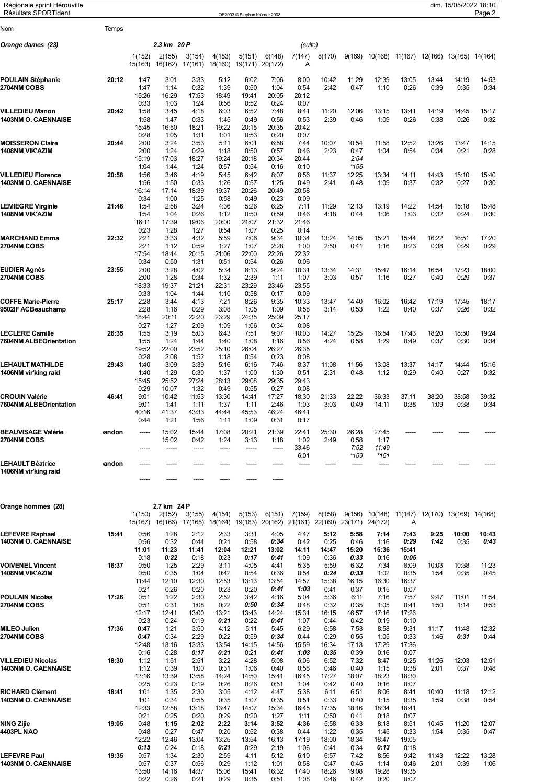| Régionale sprint Hérouville<br><b>Résultats SPORTident</b> |       |                   |                       |                   |                   | OE2003 © Stephan Krämer 2008 |                   |               |                 |               |                 |                                 |               | dim. 15/05/2022 18:10 | Page 2        |
|------------------------------------------------------------|-------|-------------------|-----------------------|-------------------|-------------------|------------------------------|-------------------|---------------|-----------------|---------------|-----------------|---------------------------------|---------------|-----------------------|---------------|
| Nom                                                        | Temps |                   |                       |                   |                   |                              |                   |               |                 |               |                 |                                 |               |                       |               |
| Orange dames  (23)                                         |       |                   | 2.3 km 20 P           |                   |                   |                              |                   | (suite)       |                 |               |                 |                                 |               |                       |               |
|                                                            |       | 1(152)<br>15(163) | 2(155)<br>16(162)     | 3(154)<br>17(161) | 4(153)<br>18(160) | 5(151)<br>19(171)            | 6(148)<br>20(172) | 7(147)<br>Α   | 8(170)          | 9(169)        |                 | 10(168) 11(167) 12(166) 13(165) |               |                       | 14(164)       |
| POULAIN Stéphanie<br><b>2704NM COBS</b>                    | 20:12 | 1:47<br>1:47      | 3:01<br>1:14          | 3:33<br>0:32      | 5:12<br>1:39      | 6:02<br>0:50                 | 7:06<br>1:04      | 8:00<br>0:54  | 10:42<br>2:42   | 11:29<br>0:47 | 12:39<br>1:10   | 13:05<br>0:26                   | 13:44<br>0:39 | 14:19<br>0:35         | 14:53<br>0:34 |
|                                                            |       | 15:26<br>0:33     | 16:29<br>1:03         | 17:53<br>1:24     | 18:49<br>0:56     | 19:41<br>0:52                | 20:05<br>0:24     | 20:12<br>0:07 |                 |               |                 |                                 |               |                       |               |
| VILLEDIEU Manon<br><b>1403NM O. CAENNAISE</b>              | 20:42 | 1:58              | 3:45                  | 4:18              | 6:03              | 6:52                         | 7:48              | 8:41          | 11:20           | 12:06         | 13:15           | 13:41                           | 14:19         | 14:45                 | 15:17         |
|                                                            |       | 1:58<br>15:45     | 1:47<br>16:50         | 0:33<br>18:21     | 1:45<br>19:22     | 0:49<br>20:15                | 0:56<br>20:35     | 0:53<br>20:42 | 2:39            | 0:46          | 1:09            | 0:26                            | 0:38          | 0:26                  | 0:32          |
| <b>MOISSERON Claire</b>                                    | 20:44 | 0:28<br>2:00      | 1:05<br>3:24          | 1:31<br>3:53      | 1:01<br>5:11      | 0:53<br>6:01                 | 0:20<br>6:58      | 0:07<br>7:44  | 10:07           | 10:54         | 11:58           | 12:52                           | 13:26         | 13:47                 | 14:15         |
| 1408NM VIK'AZIM                                            |       | 2:00              | 1:24                  | 0:29              | 1:18              | 0:50                         | 0:57              | 0:46          | 2:23            | 0:47          | 1:04            | 0:54                            | 0:34          | 0:21                  | 0:28          |
|                                                            |       | 15:19<br>1:04     | 17:03<br>1:44         | 18:27<br>1:24     | 19:24<br>0:57     | 20:18<br>0:54                | 20:34<br>0:16     | 20:44<br>0:10 |                 | 2:54<br>*156  |                 |                                 |               |                       |               |
| <b>VILLEDIEU Florence</b>                                  | 20:58 | 1:56              | 3:46                  | 4:19              | 5:45              | 6:42                         | 8:07              | 8:56          | 11:37           | 12:25         | 13:34           | 14:11                           | 14:43         | 15:10                 | 15:40         |
| <b>1403NM O. CAENNAISE</b>                                 |       | 1:56<br>16:14     | 1:50<br>17:14         | 0:33<br>18:39     | 1:26<br>19:37     | 0:57<br>20:26                | 1:25<br>20:49     | 0:49<br>20:58 | 2:41            | 0:48          | 1:09            | 0:37                            | 0:32          | 0:27                  | 0:30          |
| LEMIEGRE Virginie                                          | 21:46 | 0:34<br>1:54      | 1:00<br>2:58          | 1:25<br>3:24      | 0:58<br>4:36      | 0:49<br>5:26                 | 0:23<br>6:25      | 0:09<br>7:11  | 11:29           |               |                 | 14:22                           | 14:54         |                       | 15:48         |
| 1408NM VIK'AZIM                                            |       | 1:54              | 1:04                  | 0:26              | 1:12              | 0:50                         | 0:59              | 0:46          | 4:18            | 12:13<br>0:44 | 13:19<br>1:06   | 1:03                            | 0:32          | 15:18<br>0:24         | 0:30          |
|                                                            |       | 16:11<br>0:23     | 17:39<br>1:28         | 19:06<br>1:27     | 20:00<br>0:54     | 21:07<br>1:07                | 21:32<br>0:25     | 21:46<br>0:14 |                 |               |                 |                                 |               |                       |               |
| <b>MARCHAND Emma</b>                                       | 22:32 | 2:21              | 3:33                  | 4:32              | 5:59              | 7:06                         | 9:34              | 10:34         | 13:24           | 14:05         | 15:21           | 15:44                           | 16:22         | 16:51                 | 17:20         |
| 2704NM COBS                                                |       | 2:21<br>17:54     | 1:12<br>18:44         | 0:59<br>20:15     | 1:27<br>21:06     | 1:07<br>22:00                | 2:28<br>22:26     | 1:00<br>22:32 | 2:50            | 0:41          | 1:16            | 0:23                            | 0:38          | 0:29                  | 0:29          |
|                                                            |       | 0:34              | 0:50                  | 1:31              | 0:51              | 0:54                         | 0:26              | 0:06          |                 |               |                 |                                 |               |                       |               |
| EUDIER Agnès<br>2704NM COBS                                | 23:55 | 2:00<br>2:00      | 3:28<br>1:28          | 4:02<br>0:34      | 5:34<br>1:32      | 8:13<br>2:39                 | 9:24<br>1:11      | 10:31<br>1:07 | 13:34<br>3:03   | 14:31<br>0:57 | 15:47<br>1:16   | 16:14<br>0:27                   | 16:54<br>0:40 | 17:23<br>0:29         | 18:00<br>0:37 |
|                                                            |       | 18:33             | 19:37                 | 21:21             | 22:31             | 23:29                        | 23:46             | 23:55         |                 |               |                 |                                 |               |                       |               |
| <b>COFFE Marie-Pierre</b>                                  | 25:17 | 0:33<br>2:28      | 1:04<br>3:44          | 1:44<br>4:13      | 1:10<br>7:21      | 0:58<br>8:26                 | 0:17<br>9:35      | 0:09<br>10:33 | 13:47           | 14:40         | 16:02           | 16:42                           | 17:19         | 17:45                 | 18:17         |
| 9502IF ACBeauchamp                                         |       | 2:28<br>18:44     | 1:16<br>20:11         | 0:29<br>22:20     | 3:08<br>23:29     | 1:05<br>24:35                | 1:09<br>25:09     | 0:58<br>25:17 | 3:14            | 0:53          | 1:22            | 0:40                            | 0:37          | 0:26                  | 0:32          |
|                                                            |       | 0:27              | 1:27                  | 2:09              | 1:09              | 1:06                         | 0:34              | 0:08          |                 |               |                 |                                 |               |                       |               |
| <b>LECLERE Camille</b><br>7604NM ALBEOrientation           | 26:35 | 1:55<br>1:55      | 3:19<br>1:24          | 5:03<br>1:44      | 6:43<br>1:40      | 7:51<br>1:08                 | 9:07<br>1:16      | 10:03<br>0:56 | 14:27<br>4:24   | 15:25<br>0:58 | 16:54<br>1:29   | 17:43<br>0:49                   | 18:20<br>0:37 | 18:50<br>0:30         | 19:24<br>0:34 |
|                                                            |       | 19:52             | 22:00                 | 23:52             | 25:10             | 26:04                        | 26:27             | 26:35         |                 |               |                 |                                 |               |                       |               |
| LEHAULT MATHILDE                                           | 29:43 | 0:28<br>1:40      | 2:08<br>3:09          | 1:52<br>3:39      | 1:18<br>5:16      | 0:54<br>6:16                 | 0:23<br>7:46      | 0:08<br>8:37  | 11:08           | 11:56         | 13:08           | 13:37                           | 14:17         | 14:44                 | 15:16         |
| 1406NM vir'king raid                                       |       | 1:40              | 1:29                  | 0:30              | 1:37              | 1:00                         | 1:30              | 0:51          | 2:31            | 0:48          | 1:12            | 0:29                            | 0:40          | 0:27                  | 0:32          |
|                                                            |       | 15:45<br>0:29     | 25:52<br>10:07        | 27:24<br>1:32     | 28:13<br>0:49     | 29:08<br>0:55                | 29:35<br>0:27     | 29:43<br>0:08 |                 |               |                 |                                 |               |                       |               |
| <b>CROUIN Valérie</b><br>7604NM ALBEOrientation            | 46:41 | 9:01<br>9:01      | 10:42<br>1:41         | 11:53<br>1:11     | 13:30<br>1:37     | 14:41<br>1:11                | 17:27<br>2:46     | 18:30<br>1:03 | 21:33<br>3:03   | 22:22<br>0:49 | 36:33<br>14:11  | 37:11<br>0:38                   | 38:20<br>1:09 | 38:58<br>0:38         | 39:32<br>0:34 |
|                                                            |       | 40:16             | 41:37                 | 43:33             | 44:44             | 45:53                        | 46:24             | 46:41         |                 |               |                 |                                 |               |                       |               |
|                                                            |       | 0:44              | 1:21                  | 1:56              | 1:11              | 1:09                         | 0:31              | 0:17          |                 |               |                 |                                 |               |                       |               |
| <b>BEAUVISAGE Valérie</b><br><b>2704NM COBS</b>            | andon |                   | 15:02<br>15:02        | 15:44<br>0:42     | 17:08<br>1:24     | 20:21<br>3:13                | 21:39<br>1:18     | 22:41<br>1:02 | 25:30<br>2:49   | 26:28<br>0:58 | 27:45<br>1:17   |                                 |               |                       |               |
|                                                            |       | -----             | -----                 | -----             | -----             | -----                        | -----             | 33:46         |                 | 7:52          | 11:49           |                                 |               |                       |               |
| <b>LEHAULT Béatrice</b>                                    | andon |                   |                       |                   |                   |                              |                   | 6:01<br>----- |                 | *159<br>----- | *151<br>-----   |                                 |               |                       |               |
| 1406NM vir'king raid                                       |       |                   |                       |                   |                   |                              |                   |               |                 |               |                 |                                 |               |                       |               |
|                                                            |       |                   |                       |                   |                   |                              |                   |               |                 |               |                 |                                 |               |                       |               |
| Orange hommes (28)                                         |       | 1(150)            | 2.7 km 24 P<br>2(152) | 3(155)            | 4(154)            | 5(153)                       | 6(151)            | 7(159)        | 8(158)          | 9(156)        | 10(148) 11(147) |                                 | 12(170)       | 13(169)               | 14(168)       |
|                                                            |       | 15(167)           | 16(166)               | 17(165)           | 18(164)           | 19(163)                      | 20(162) 21(161)   |               | 22(160) 23(171) |               | 24(172)         | Α                               |               |                       |               |
| <b>LEFEVRE Raphael</b><br><b>1403NM O. CAENNAISE</b>       | 15:41 | 0:56<br>0:56      | 1:28<br>0:32          | 2:12<br>0:44      | 2:33<br>0:21      | 3:31<br>0:58                 | 4:05<br>0:34      | 4:47<br>0:42  | 5:12<br>0:25    | 5:58<br>0:46  | 7:14<br>1:16    | 7:43<br>0:29                    | 9:25<br>1:42  | 10:00<br>0:35         | 10:43<br>0:43 |
|                                                            |       | 11:01             | 11:23                 | 11:41             | 12:04             | 12:21                        | 13:02             | 14:11         | 14:47           | 15:20         | 15:36           | 15:41                           |               |                       |               |
| <b>VOIVENEL Vincent</b>                                    | 16:37 | 0:18<br>0:50      | 0:22<br>1:25          | 0:18<br>2:29      | 0:23<br>3:11      | 0:17<br>4:05                 | 0:41<br>4:41      | 1:09<br>5:35  | 0:36<br>5:59    | 0:33<br>6:32  | 0:16<br>7:34    | 0:05<br>8:09                    | 10:03         | 10:38                 | 11:23         |
| 1408NM VIK'AZIM                                            |       | 0:50              | 0:35                  | 1:04              | 0:42              | 0:54                         | 0:36              | 0:54          | 0:24            | 0:33          | 1:02            | 0:35                            | 1:54          | 0:35                  | 0:45          |
|                                                            |       | 11:44<br>0:21     | 12:10<br>0:26         | 12:30<br>0:20     | 12:53<br>0:23     | 13:13<br>0:20                | 13:54<br>0:41     | 14:57<br>1:03 | 15:38<br>0:41   | 16:15<br>0:37 | 16:30<br>0:15   | 16:37<br>0:07                   |               |                       |               |
| POULAIN Nicolas<br>2704NM COBS                             | 17:26 | 0:51<br>0:51      | 1:22<br>0:31          | 2:30<br>1:08      | 2:52<br>0:22      | 3:42<br>0:50                 | 4:16<br>0:34      | 5:04<br>0:48  | 5:36<br>0:32    | 6:11<br>0:35  | 7:16<br>1:05    | 7:57<br>0:41                    | 9:47<br>1:50  | 11:01<br>1:14         | 11:54<br>0:53 |
|                                                            |       | 12:17             | 12:41                 | 13:00             | 13:21             | 13:43                        | 14:24             | 15:31         | 16:15           | 16:57         | 17:16           | 17:26                           |               |                       |               |
| MILEO Julien                                               | 17:36 | 0:23<br>0:47      | 0:24<br>1:21          | 0:19<br>3:50      | 0:21<br>4:12      | 0:22<br>5:11                 | 0:41<br>5:45      | 1:07<br>6:29  | 0:44<br>6:58    | 0:42<br>7:53  | 0:19<br>8:58    | 0:10<br>9:31                    | 11:17         | 11:48                 | 12:32         |
| <b>2704NM COBS</b>                                         |       | 0:47              | 0:34                  | 2:29              | 0:22              | 0:59                         | 0:34              | 0:44          | 0:29            | 0:55          | 1:05            | 0:33                            | 1:46          | 0:31                  | 0:44          |
|                                                            |       | 12:48<br>0:16     | 13:16<br>0:28         | 13:33<br>0:17     | 13:54<br>0:21     | 14:15<br>0:21                | 14:56<br>0:41     | 15:59<br>1:03 | 16:34<br>0:35   | 17:13<br>0:39 | 17:29<br>0:16   | 17:36<br>0:07                   |               |                       |               |
| <b>VILLEDIEU Nicolas</b>                                   | 18:30 | 1:12              | 1:51                  | 2:51              | 3:22              | 4:28                         | 5:08              | 6:06          | 6:52            | 7:32          | 8:47            | 9:25                            | 11:26         | 12:03                 | 12:51         |
| <b>1403NM O. CAENNAISE</b>                                 |       | 1:12<br>13:16     | 0:39<br>13:39         | 1:00<br>13:58     | 0:31<br>14:24     | 1:06<br>14:50                | 0:40<br>15:41     | 0:58<br>16:45 | 0:46<br>17:27   | 0:40<br>18:07 | 1:15<br>18:23   | 0:38<br>18:30                   | 2:01          | 0:37                  | 0:48          |
| RICHARD Clément                                            | 18:41 | 0:25<br>1:01      | 0:23<br>1:35          | 0:19<br>2:30      | 0:26<br>3:05      | 0:26<br>4:12                 | 0:51<br>4:47      | 1:04<br>5:38  | 0:42<br>6:11    | 0:40<br>6:51  | 0:16<br>8:06    | 0:07<br>8:41                    | 10:40         | 11:18                 | 12:12         |
| <b>1403NM O. CAENNAISE</b>                                 |       | 1:01              | 0:34                  | 0:55              | 0:35              | 1:07                         | 0:35              | 0:51          | 0:33            | 0:40          | 1:15            | 0:35                            | 1:59          | 0:38                  | 0:54          |
|                                                            |       | 12:33<br>0:21     | 12:58<br>0:25         | 13:18<br>0:20     | 13:47<br>0:29     | 14:07<br>0:20                | 15:34<br>1:27     | 16:45<br>1:11 | 17:35<br>0:50   | 18:16<br>0:41 | 18:34<br>0:18   | 18:41<br>0:07                   |               |                       |               |
| NING Zijie                                                 | 19:05 | 0:48              | 1:15                  | 2:02              | 2:22              | 3:14                         | 3:52              | 4:36          | 5:58            | 6:33          | 8:18            | 8:51                            | 10:45         | 11:20                 | 12:07         |
| 4403PL NAO                                                 |       | 0:48<br>12:22     | 0:27<br>12:46         | 0:47<br>13:04     | 0:20<br>13:25     | 0:52<br>13:54                | 0:38<br>16:13     | 0:44<br>17:19 | 1:22<br>18:00   | 0:35<br>18:34 | 1:45<br>18:47   | 0:33<br>19:05                   | 1:54          | 0:35                  | 0:47          |
| <b>LEFEVRE Paul</b>                                        | 19:35 | 0:15<br>0:57      | 0:24<br>1:34          | 0:18<br>2:30      | 0:21<br>2:59      | 0:29<br>4:11                 | 2:19<br>5:12      | 1:06<br>6:10  | 0:41<br>6:57    | 0:34<br>7:42  | 0:13<br>8:56    | 0:18<br>9:42                    | 11:43         | 12:22                 | 13:28         |
| 1403NM O. CAENNAISE                                        |       | 0:57              | 0:37                  | 0:56              | 0:29              | 1:12                         | 1:01              | 0:58          | 0:47            | 0:45          | 1:14            | 0:46                            | 2:01          | 0:39                  | 1:06          |
|                                                            |       | 13:50<br>0:22     | 14:16<br>0:26         | 14:37<br>0:21     | 15:06<br>0:29     | 15:41<br>0:35                | 16:32<br>0:51     | 17:40<br>1:08 | 18:26<br>0:46   | 19:08<br>0:42 | 19:28<br>0:20   | 19:35<br>0:07                   |               |                       |               |